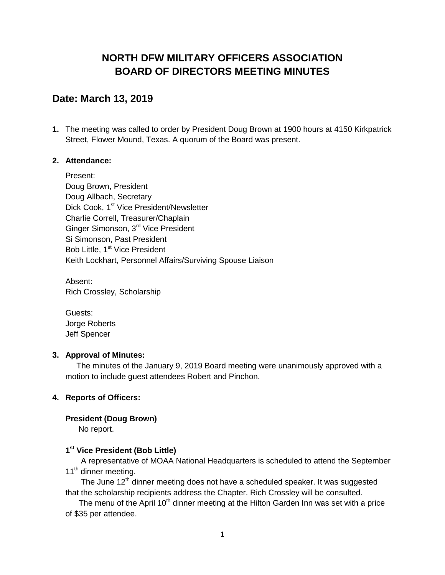## **NORTH DFW MILITARY OFFICERS ASSOCIATION BOARD OF DIRECTORS MEETING MINUTES**

## **Date: March 13, 2019**

**1.** The meeting was called to order by President Doug Brown at 1900 hours at 4150 Kirkpatrick Street, Flower Mound, Texas. A quorum of the Board was present.

#### **2. Attendance:**

Present: Doug Brown, President Doug Allbach, Secretary Dick Cook, 1<sup>st</sup> Vice President/Newsletter Charlie Correll, Treasurer/Chaplain Ginger Simonson, 3<sup>rd</sup> Vice President Si Simonson, Past President Bob Little, 1<sup>st</sup> Vice President Keith Lockhart, Personnel Affairs/Surviving Spouse Liaison

Absent: Rich Crossley, Scholarship

Guests: Jorge Roberts Jeff Spencer

#### **3. Approval of Minutes:**

 The minutes of the January 9, 2019 Board meeting were unanimously approved with a motion to include guest attendees Robert and Pinchon.

#### **4. Reports of Officers:**

#### **President (Doug Brown)**

No report.

#### **1 st Vice President (Bob Little)**

 A representative of MOAA National Headquarters is scheduled to attend the September 11<sup>th</sup> dinner meeting.

The June 12<sup>th</sup> dinner meeting does not have a scheduled speaker. It was suggested that the scholarship recipients address the Chapter. Rich Crossley will be consulted.

The menu of the April  $10<sup>th</sup>$  dinner meeting at the Hilton Garden Inn was set with a price of \$35 per attendee.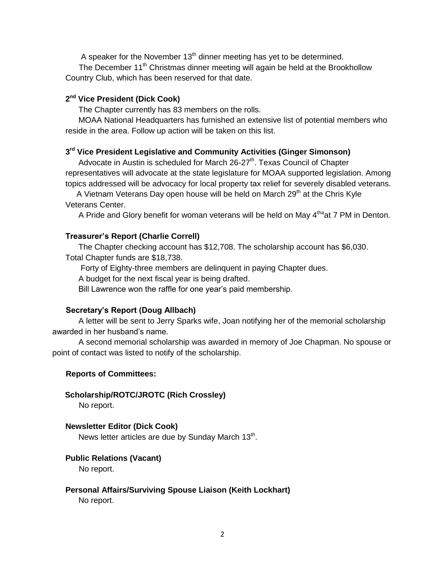A speaker for the November  $13<sup>th</sup>$  dinner meeting has yet to be determined.

The December 11<sup>th</sup> Christmas dinner meeting will again be held at the Brookhollow Country Club, which has been reserved for that date.

#### **2 nd Vice President (Dick Cook)**

The Chapter currently has 83 members on the rolls.

MOAA National Headquarters has furnished an extensive list of potential members who reside in the area. Follow up action will be taken on this list.

#### **3 rd Vice President Legislative and Community Activities (Ginger Simonson)**

Advocate in Austin is scheduled for March 26-27<sup>th</sup>. Texas Council of Chapter representatives will advocate at the state legislature for MOAA supported legislation. Among topics addressed will be advocacy for local property tax relief for severely disabled veterans.

A Vietnam Veterans Day open house will be held on March 29<sup>th</sup> at the Chris Kyle Veterans Center.

A Pride and Glory benefit for woman veterans will be held on May 4<sup>tha</sup>at 7 PM in Denton.

#### **Treasurer's Report (Charlie Correll)**

The Chapter checking account has \$12,708. The scholarship account has \$6,030. Total Chapter funds are \$18,738.

Forty of Eighty-three members are delinquent in paying Chapter dues.

A budget for the next fiscal year is being drafted.

Bill Lawrence won the raffle for one year's paid membership.

#### **Secretary's Report (Doug Allbach)**

A letter will be sent to Jerry Sparks wife, Joan notifying her of the memorial scholarship awarded in her husband's name.

A second memorial scholarship was awarded in memory of Joe Chapman. No spouse or point of contact was listed to notify of the scholarship.

#### **Reports of Committees:**

#### **Scholarship/ROTC/JROTC (Rich Crossley)**

No report.

#### **Newsletter Editor (Dick Cook)**

News letter articles are due by Sunday March 13<sup>th</sup>.

#### **Public Relations (Vacant)**

No report.

# **Personal Affairs/Surviving Spouse Liaison (Keith Lockhart)**

No report.